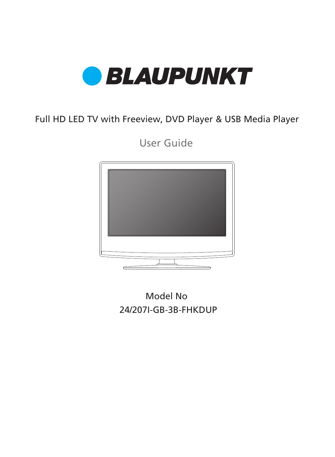

### Full HD LED TV with Freeview, DVD Player & USB Media Player

User Guide



24/207I-GB-3B-FHKDUP Model No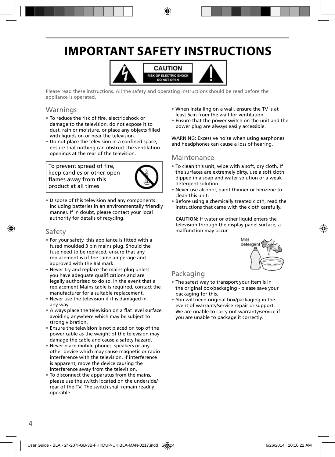# **IMPORTANT SAFETY INSTRUCTIONS**



Please read these instructions. All the safety and operating instructions should be read before the appliance is operated.

#### Warnings

- To reduce the risk of fire, electric shock or damage to the television, do not expose it to dust, rain or moisture, or place any objects filled with liquids on or near the television.
- Do not place the television in a confined space, ensure that nothing can obstruct the ventilation openings at the rear of the television.

To prevent spread of fire, keep candles or other open flames away from this product at all times



• Dispose of this television and any components including batteries in an environmentally friendly manner. If in doubt, please contact your local authority for details of recycling.

#### Safety

- For your safety, this appliance is fitted with a fused moulded 3 pin mains plug. Should the fuse need to be replaced, ensure that any replacement is of the same amperage and approved with the BSI mark.
- Never try and replace the mains plug unless you have adequate qualifications and are legally authorised to do so. In the event that a replacement Mains cable is required, contact the manufacturer for a suitable replacement.
- Never use the television if it is damaged in any way.
- Always place the television on a flat level surface avoiding anywhere which may be subject to strong vibration.
- Ensure the television is not placed on top of the power cable as the weight of the television may damage the cable and cause a safety hazard.
- Never place mobile phones, speakers or any other device which may cause magnetic or radio interference with the television. If interference is apparent, move the device causing the interference away from the television.
- To disconnect the apparatus from the mains, please use the switch located on the underside/ rear of the TV. The switch shall remain readily operable.
- When installing on a wall, ensure the TV is at least 5cm from the wall for ventilation
- Ensure that the power switch on the unit and the power plug are always easily accessible.

WARNING: Excessive noise when using earphones and headphones can cause a loss of hearing.

#### Maintenance

- To clean this unit, wipe with a soft, dry cloth. If the surfaces are extremely dirty, use a soft cloth dipped in a soap and water solution or a weak detergent solution.
- Never use alcohol, paint thinner or benzene to clean this unit.
- Before using a chemically treated cloth, read the instructions that came with the cloth carefully.

**CAUTION:** If water or other liquid enters the television through the display panel surface, a malfunction may occur.



### Packaging

- The safest way to transport your item is in the original box/packaging - please save your packaging for this.
- You will need original box/packaging in the event of warranty/service repair or support. We are unable to carry out warranty/service if you are unable to package it correctly.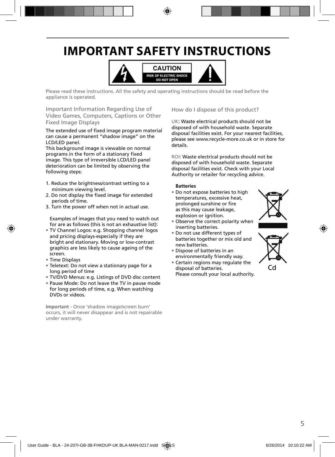## **IMPORTANT SAFETY INSTRUCTIONS**



Please read these instructions. All the safety and operating instructions should be read before the appliance is operated.

Important Information Regarding Use of Video Games, Computers, Captions or Other Fixed Image Displays

The extended use of fixed image program material can cause a permanent "shadow image" on the LCD/LED panel.

This background image is viewable on normal programs in the form of a stationary fixed image. This type of irreversible LCD/LED panel deterioration can be limited by observing the following steps:

- 1. Reduce the brightness/contrast setting to a minimum viewing level.
- 2. Do not display the fixed image for extended periods of time.
- 3. Turn the power off when not in actual use.

Examples of images that you need to watch out for are as follows (this is not an exhaustive list):

- TV Channel Logos: e.g. Shopping channel logos and pricing displays-especially if they are bright and stationary. Moving or low-contrast graphics are less likely to cause ageing of the screen.
- Time Displays
- Teletext: Do not view a stationary page for a long period of time
- TV/DVD Menus: e.g. Listings of DVD disc content
- Pause Mode: Do not leave the TV in pause mode for long periods of time, e.g. When watching DVDs or videos.

**Important** - Once 'shadow image/screen burn' occurs, it will never disappear and is not repairable under warranty.

How do I dispose of this product?

UK: Waste electrical products should not be disposed of with household waste. Separate disposal facilities exist. For your nearest facilities, please see www.recycle-more.co.uk or in store for details.

ROI: Waste electrical products should not be disposed of with household waste. Separate disposal facilities exist. Check with your Local Authority or retailer for recycling advice.

#### **Batteries**

• Do not expose batteries to high temperatures, excessive heat, prolonged sunshine or fire as this may cause leakage, explosion or ignition.



- Observe the correct polarity when inserting batteries.
- Do not use different types of batteries together or mix old and new batteries.
- Dispose of batteries in an environmentally friendly way.
- Certain regions may regulate the disposal of batteries. Please consult your local authority.

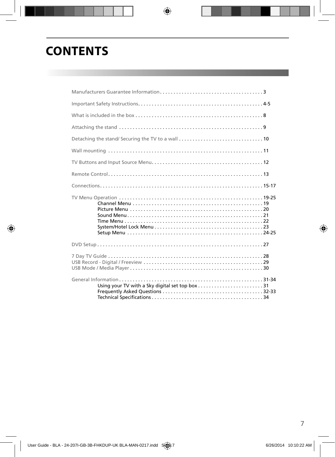### **CONTENTS**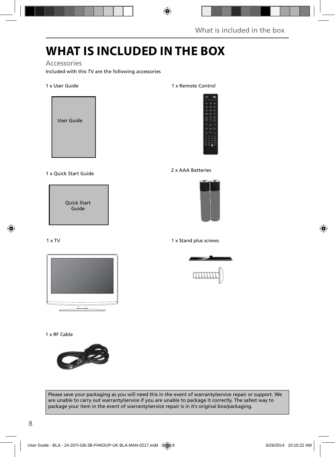# **WHAT IS INCLUDED IN THE BOX**

#### Accessories

Included with this TV are the following accessories

#### 1 x User Guide



### 1 x Quick Start Guide 2 x AAA Batteries

Quick Start Guide

#### $1 \times TV$



#### 1 x RF Cable



#### Please save your packaging as you will need this in the event of warranty/service repair or support. We are unable to carry out warranty/service if you are unable to package it correctly. The safest way to package your item in the event of warranty/service repair is in it's original box/packaging.

#### 1 x Remote Control





#### 1 x Stand plus screws

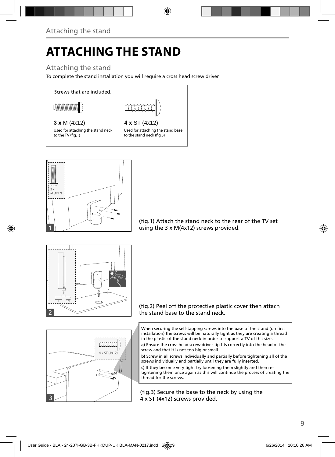# **ATTACHING THE STAND**

### Attaching the stand

To complete the stand installation you will require a cross head screw driver

Screws that are included.

$$
\textcolor{gray}{\textbf{C}\textbf{M}\textbf{M}\textbf{M}\textbf{M}\textbf{M}\textbf{M}\textbf{M}}
$$



### **3 x** M (4x12) **4 x** ST (4x12)

Used for attaching the stand neck to the TV (fig.1)

Used for attaching the stand base to the stand neck (fig.3)



(fig.1) Attach the stand neck to the rear of the TV set using the 3 x M(4x12) screws provided.





When securing the self-tapping screws into the base of the stand (on first installation) the screws will be naturally tight as they are creating a thread in the plastic of the stand neck in order to support a TV of this size.

a) Ensure the cross head screw driver tip fits correctly into the head of the screw and that it is not too big or small.

**b)** Screw in all screws individually and partially before tightening all of the screws individually and partially until they are fully inserted.

**c)** If they become very tight try loosening them slightly and then retightening them once again as this will continue the process of creating the thread for the screws.

(fig.3) Secure the base to the neck by using the 4 x ST (4x12) screws provided.

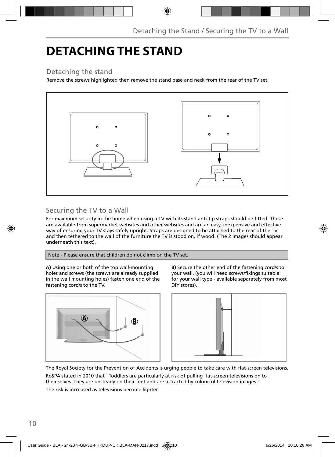### **DETACHING THE STAND**

### Detaching the stand

Remove the screws highlighted then remove the stand base and neck from the rear of the TV set.



### Securing the TV to a Wall

For maximum security in the home when using a TV with its stand anti-tip straps should be fitted. These are available from supermarket websites and other websites and are an easy, inexpensive and effective way of ensuring your TV stays safely upright. Straps are designed to be attached to the rear of the TV and then tethered to the wall of the furniture the TV is stood on, if wood. (The 2 images should appear underneath this text).

Note - Please ensure that children do not climb on the TV set.

**A)** Using one or both of the top wall-mounting holes and screws (the screws are already supplied in the wall mounting holes) fasten one end of the fastening cord/s to the TV.



**B)** Secure the other end of the fastening cord/s to your wall. (you will need screws/fixings suitable for your wall type - available separately from most DIY stores).



The Royal Society for the Prevention of Accidents is urging people to take care with flat-screen televisions.

RoSPA stated in 2010 that "Toddlers are particularly at risk of pulling flat-screen televisions on to themselves. They are unsteady on their feet and are attracted by colourful television images."

The risk is increased as televisions become lighter.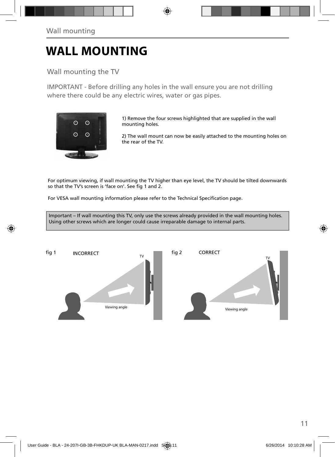### **WALL MOUNTING**

### Wall mounting the TV

IMPORTANT - Before drilling any holes in the wall ensure you are not drilling where there could be any electric wires, water or gas pipes.



1) Remove the four screws highlighted that are supplied in the wall mounting holes.

2) The wall mount can now be easily attached to the mounting holes on the rear of the TV.

For optimum viewing, if wall mounting the TV higher than eye level, the TV should be tilted downwards so that the TV's screen is 'face on'. See fig 1 and 2.

For VESA wall mounting information please refer to the Technical Specification page.

Important – If wall mounting this TV, only use the screws already provided in the wall mounting holes. Using other screws which are longer could cause irreparable damage to internal parts.

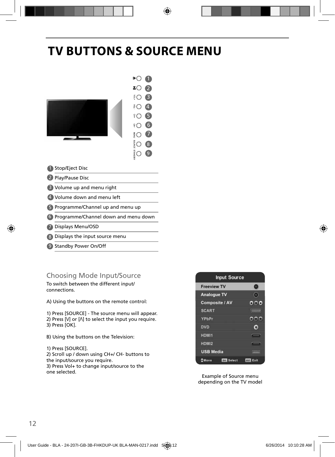## **TV BUTTONS & SOURCE MENU**



- 2 Play/Pause Disc
- Volume up and menu right 3
- Volume down and menu left 4
- 5 Programme/Channel up and menu up
- Programme/Channel down and menu down 6
- Displays Menu/OSD 7
- 8) Displays the input source menu
- 9 Standby Power On/Off

### Choosing Mode Input/Source

To switch between the different input/ connections.

A) Using the buttons on the remote control:

1) Press [SOURCE] - The source menu will appear. 2) Press  $[V]$  or  $[$   $\wedge$   $]$  to select the input you require. 3) Press [OK].

B) Using the buttons on the Television:

1) Press [SOURCE]. 2) Scroll up / down using CH+/ CH- buttons to the input/source you require. 3) Press Vol+ to change input/source to the one selected.



Example of Source menu depending on the TV model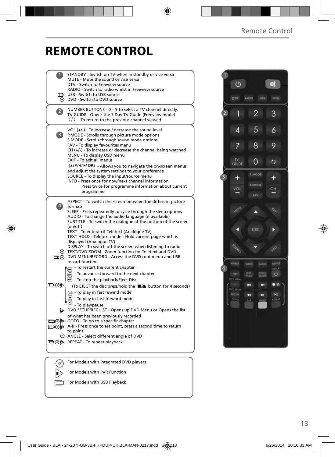# **REMOTE CONTROL**

|                | STANDBY - Switch on TV when in standby or vice versa                                                                 |  |
|----------------|----------------------------------------------------------------------------------------------------------------------|--|
|                | MUTE - Mute the sound or vice versa                                                                                  |  |
|                | DTV - Switch to Freeview source<br>RADIO - Switch to radio whilst in Freeview source                                 |  |
|                | USB - Switch to USB source                                                                                           |  |
|                | @ DVD - Switch to DVD source                                                                                         |  |
|                |                                                                                                                      |  |
| $\overline{2}$ | NUMBER BUTTONS - 0 - 9 to select a TV channel directly.                                                              |  |
|                | TV GUIDE - Opens the 7 Day TV Guide (Freeview mode)                                                                  |  |
|                | $\mathbb{C}$ - To return to the previous channel viewed                                                              |  |
|                | VOL (+/-) - To increase / decrease the sound level                                                                   |  |
| 3)             | P.MODE - Scrolls through picture mode options                                                                        |  |
|                | S.MODE - Scrolls through sound mode options                                                                          |  |
|                | FAV - To display favourites menu                                                                                     |  |
|                | CH (+/-) - To increase or decrease the channel being watched                                                         |  |
|                | MENU - To display OSD menu                                                                                           |  |
|                | EXIT - To exit all menus                                                                                             |  |
|                | (A/V/4/M/OK) - Allows you to navigate the on-screen menus                                                            |  |
|                | and adjust the system settings to your preference                                                                    |  |
|                | SOURCE - To display the input/source menu<br>INFO - Press once for now/next channel information                      |  |
|                | Press twice for programme information about current                                                                  |  |
|                | programme                                                                                                            |  |
|                |                                                                                                                      |  |
|                | ASPECT - To switch the screen between the different picture                                                          |  |
| $\ket{4}$      | formats                                                                                                              |  |
|                | SLEEP - Press repeatedly to cycle through the sleep options                                                          |  |
|                | AUDIO - To change the audio language (if available)<br>SUBTITLE - To switch the dialogue at the bottom of the screen |  |
|                | (on/off)                                                                                                             |  |
|                | TEXT - To enter/exit Teletext (Analogue TV)                                                                          |  |
|                | TEXT HOLD - Teletext mode - Hold current page which is                                                               |  |
|                | displayed (Analogue TV)                                                                                              |  |
|                | DISPLAY - To switch off the screen when listening to radio                                                           |  |
|                | TEXT/DVD ZOOM - Zoom function for Teletext and DVD                                                                   |  |
|                | O DVD MENU/RECORD - Access the DVD root menu and USB<br>record function                                              |  |
|                | - To restart the current chapter                                                                                     |  |
|                | ⋒                                                                                                                    |  |
|                | - To advance forward to the next chapter<br>$\circledast$                                                            |  |
|                | $\mathbf{C}$ - To stop the playback/Eject Disc                                                                       |  |
| య⊚⊡            | (To EJECT the disc press/hold the ■▲ button for 4 seconds)                                                           |  |
|                | n - To play in fast rewind mode                                                                                      |  |
|                | - To play in fast forward mode                                                                                       |  |
|                | - To play/pause                                                                                                      |  |
|                | DVD SETUP/REC LIST - Opens up DVD Menu or Opens the list                                                             |  |
|                | of what has been previously recorded                                                                                 |  |
|                | □ ⊙ iD GOTO - To go to a specific chapter                                                                            |  |
|                | A-B - Press once to set point, press a second time to return                                                         |  |
|                | to point                                                                                                             |  |
|                | O ANGLE - Select different angle of DVD                                                                              |  |
|                | □ ⑦ A REPEAT - To repeat playback                                                                                    |  |
|                |                                                                                                                      |  |
|                |                                                                                                                      |  |
| (രീ            | For Models with Integrated DVD players                                                                               |  |

For Models with PVR Function For Models with USB Playback

 $\mathbb{D}$  $\Box$ 



13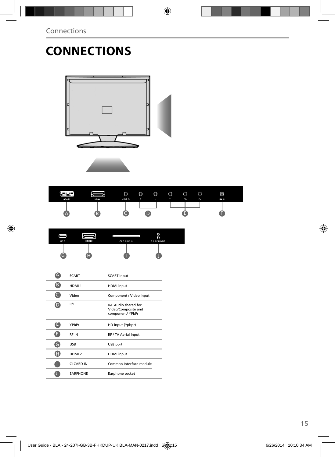# **CONNECTIONS**



| <b>YEWWHEN</b><br><b>SCART</b> | HDM <sub>1</sub> | $\circledcirc$<br><b>VIDEO</b> | $\circledcirc$<br>$\mathsf{R}$ | $\circledcirc$ | $\circledcirc$<br>$\checkmark$ | $\circledcirc$<br>Pb | $\circledcirc$<br>Pr. | ⊚<br>FU- IN |  |
|--------------------------------|------------------|--------------------------------|--------------------------------|----------------|--------------------------------|----------------------|-----------------------|-------------|--|
| Æ                              | В                |                                |                                |                |                                |                      |                       |             |  |

| USB | HDM 2 | <b>Inc</b><br><b>CICARDIN</b> | ø<br>ค<br><b>EARPHONE</b> |  |
|-----|-------|-------------------------------|---------------------------|--|
|     |       |                               |                           |  |

| <b>SCART</b>      | <b>SCART</b> input                                              |
|-------------------|-----------------------------------------------------------------|
| HDMI <sub>1</sub> | <b>HDMI</b> input                                               |
| Video             | Component / Video input                                         |
| R/L               | R/L Audio shared for<br>Video/Composite and<br>component/ YPbPr |
| YPbPr             | HD input (Ypbpr)                                                |
| <b>RFIN</b>       | RF / TV Aerial Input                                            |
| <b>USB</b>        | USB port                                                        |
| HDMI <sub>2</sub> | <b>HDMI</b> input                                               |
| CI CARD IN        | Common Interface module                                         |
| <b>EARPHONE</b>   | Earphone socket                                                 |
|                   |                                                                 |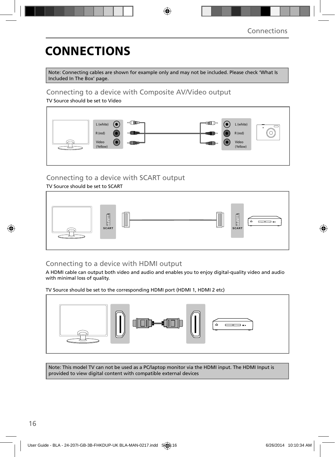# **CONNECTIONS**

Note: Connecting cables are shown for example only and may not be included. Please check 'What Is Included In The Box' page.

#### Connecting to a device with Composite AV/Video output

TV Source should be set to Video



### Connecting to a device with SCART output

#### TV Source should be set to SCART



### Connecting to a device with HDMI output

A HDMI cable can output both video and audio and enables you to enjoy digital-quality video and audio with minimal loss of quality.

TV Source should be set to the corresponding HDMI port (HDMI 1, HDMI 2 etc)



Note: This model TV can not be used as a PC/laptop monitor via the HDMI input. The HDMI Input is provided to view digital content with compatible external devices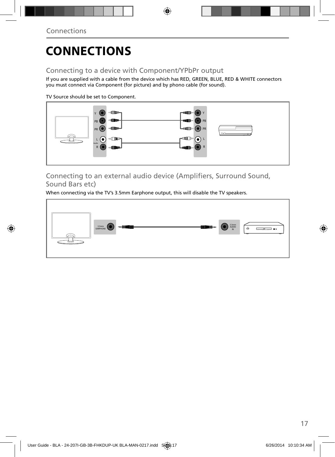# **CONNECTIONS**

### Connecting to a device with Component/YPbPr output

If you are supplied with a cable from the device which has RED, GREEN, BLUE, RED & WHITE connectors you must connect via Component (for picture) and by phono cable (for sound).

TV Source should be set to Component.



Connecting to an external audio device (Amplifiers, Surround Sound, Sound Bars etc)

When connecting via the TV's 3.5mm Earphone output, this will disable the TV speakers.

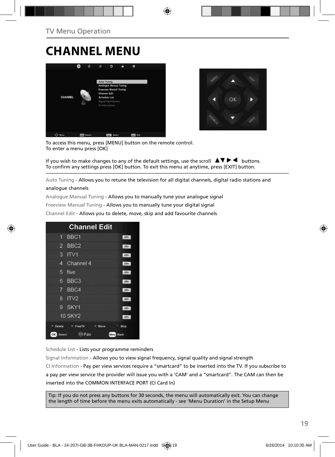### **CHANNEL MENU**





To access this menu, press [MENU] button on the remote control. To enter a menu press [OK]

If you wish to make changes to any of the default settings, use the scroll  $\blacktriangle \blacktriangledown \blacktriangleright \blacktriangleleft$  buttons. To confirm any settings press [OK] button. To exit this menu at anytime, press [EXIT] button.

Auto Tuning - Allows you to retune the television for all digital channels, digital radio stations and

#### analogue channels

Analogue Manual Tuning - Allows you to manually tune your analogue signal

Freeview Manual Tuning - Allows you to manually tune your digital signal

Channel Edit - Allows you to delete, move, skip and add favourite channels

| <b>Channel Edit</b>                   |              |
|---------------------------------------|--------------|
| 1 BBC1                                | onv          |
| 2 BBC2                                | otv          |
| 3<br>IV1                              | otv          |
| Channel 4<br>4                        | otv          |
| 5<br>five                             | otv          |
| BBC <sub>3</sub><br>6                 | <b>DIV</b>   |
| 7 BBC4                                | onv          |
| ITV2<br>8                             | onv          |
| SKY1<br>g                             | onv          |
| <b>10 SKY2</b>                        | otv.         |
| Delete<br>۰<br>FreeTV<br>٠<br>Move    | Skip         |
| $\leftrightarrow$ Fav<br>OK<br>Select | Menu<br>Back |

Schedule List - Lists your programme reminders

Signal Information - Allows you to view signal frequency, signal quality and signal strength CI Information - Pay per view services require a "smartcard" to be inserted into the TV. If you subscribe to a pay per view service the provider will issue you with a 'CAM' and a "smartcard". The CAM can then be inserted into the COMMON INTERFACE PORT (CI Card In)

Tip: If you do not press any buttons for 30 seconds, the menu will automatically exit. You can change the length of time before the menu exits automatically - see 'Menu Duration' in the Setup Menu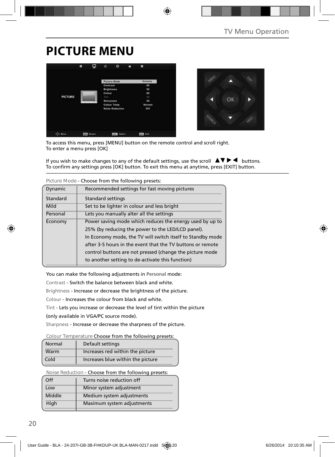### **PICTURE MENU**





To access this menu, press [MENU] button on the remote control and scroll right. To enter a menu press [OK]

If you wish to make changes to any of the default settings, use the scroll  $\Box \blacktriangledown \blacktriangleright \blacktriangleleft$  buttons. To confirm any settings press [OK] button. To exit this menu at anytime, press [EXIT] button.

|          | Figure Mode - Choose from the following presets.           |
|----------|------------------------------------------------------------|
| Dynamic  | Recommended settings for fast moving pictures              |
| Standard | <b>Standard settings</b>                                   |
| Mild     | Set to be lighter in colour and less bright                |
| Personal | Lets you manually alter all the settings                   |
| Economy  | Power saving mode which reduces the energy used by up to   |
|          | 25% (by reducing the power to the LED/LCD panel).          |
|          | In Economy mode, the TV will switch itself to Standby mode |
|          | after 3-5 hours in the event that the TV buttons or remote |
|          | control buttons are not pressed (change the picture mode   |
|          | to another setting to de-activate this function)           |
|          |                                                            |

**Picture Mode** - Choose from the following presets:

You can make the following adjustments in **Personal** mode:

Contrast - Switch the balance between black and white.

Brightness - Increase or decrease the brightness of the picture.

Colour - Increases the colour from black and white.

Tint - Lets you increase or decrease the level of tint within the picture

(only available in VGA/PC source mode).

Sharpness - Increase or decrease the sharpness of the picture.

#### **Colour Temperature** Choose from the following presets:

| Normal | Default settings                  |
|--------|-----------------------------------|
| Warm   | Increases red within the picture  |
| Cold   | Increases blue within the picture |

**Noise Reduction** - Choose from the following presets:

| $\Omega$ | Turns noise reduction off  |
|----------|----------------------------|
| Low      | Minor system adjustment    |
| Middle   | Medium system adjustments  |
| High     | Maximum system adjustments |
|          |                            |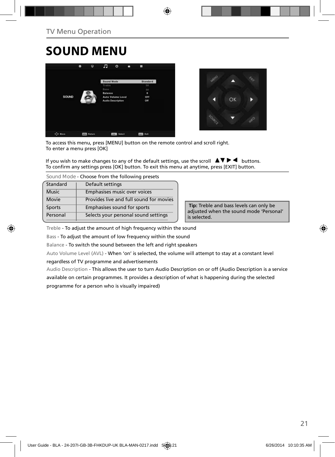# **SOUND MENU**





To access this menu, press [MENU] button on the remote control and scroll right. To enter a menu press [OK]

If you wish to make changes to any of the default settings, use the scroll  $\Box \blacktriangledown \blacktriangleright \blacktriangleleft$  buttons. To confirm any settings press [OK] button. To exit this menu at anytime, press [EXIT] button.

**Sound Mode** - Choose from the following presets

| Standard     | Default settings                        |
|--------------|-----------------------------------------|
| <b>Music</b> | Emphasises music over voices            |
| Movie        | Provides live and full sound for movies |
| Sports       | Emphasises sound for sports             |
| Personal     | Selects your personal sound settings    |

 **Tip:** Treble and bass levels can only be adjusted when the sound mode 'Personal' is selected.

Treble - To adjust the amount of high frequency within the sound

Bass - To adjust the amount of low frequency within the sound

Balance - To switch the sound between the left and right speakers

Auto Volume Level (AVL) - When 'on' is selected, the volume will attempt to stay at a constant level regardless of TV programme and advertisements

Audio Description - This allows the user to turn Audio Description on or off (Audio Description is a service available on certain programmes. It provides a description of what is happening during the selected programme for a person who is visually impaired)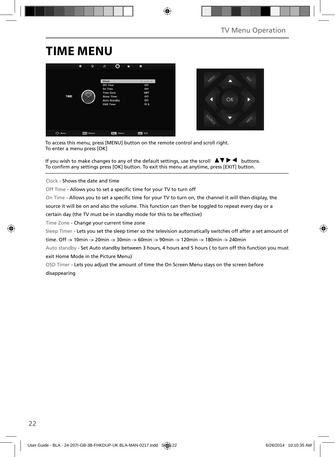## **TIME MENU**





To access this menu, press [MENU] button on the remote control and scroll right. To enter a menu press [OK]

If you wish to make changes to any of the default settings, use the scroll  $\Box \blacktriangledown \blacktriangleright \blacktriangleleft$  buttons. To confirm any settings press [OK] button. To exit this menu at anytime, press [EXIT] button.

Clock - Shows the date and time

Off Time - Allows you to set a specific time for your TV to turn off

On Time - Allows you to set a specific time for your TV to turn on, the channel it will then display, the

source it will be on and also the volume. This function can then be toggled to repeat every day or a

certain day (the TV must be in standby mode for this to be effective)

Time Zone - Change your current time zone

Sleep Timer - Lets you set the sleep timer so the television automatically switches off after a set amount of

time. Off -> 10min -> 20min -> 30min -> 60min -> 90min -> 120min -> 180min -> 240min

Auto standby - Set Auto standby between 3 hours, 4 hours and 5 hours ( to turn off this function you must exit Home Mode in the Picture Menu)

OSD Timer - Lets you adjust the amount of time the On Screen Menu stays on the screen before disappearing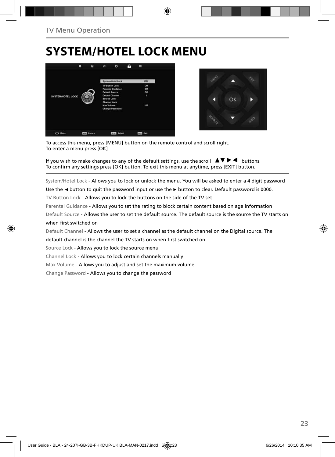### **SYSTEM/HOTEL LOCK MENU**





To access this menu, press [MENU] button on the remote control and scroll right. To enter a menu press [OK]

If you wish to make changes to any of the default settings, use the scroll  $\Box \blacktriangledown \blacktriangleright \blacktriangleleft$  buttons. To confirm any settings press [OK] button. To exit this menu at anytime, press [EXIT] button.

System/Hotel Lock - Allows you to lock or unlock the menu. You will be asked to enter a 4 digit password

Use the **◄** button to quit the password input or use the **►** button to clear. Default password is 0000.

TV Button Lock - Allows you to lock the buttons on the side of the TV set

Parental Guidance - Allows you to set the rating to block certain content based on age information

Default Source - Allows the user to set the default source. The default source is the source the TV starts on when first switched on

Default Channel - Allows the user to set a channel as the default channel on the Digital source. The

default channel is the channel the TV starts on when first switched on

Source Lock - Allows you to lock the source menu

Channel Lock - Allows you to lock certain channels manually

Max Volume - Allows you to adjust and set the maximum volume

Change Password - Allows you to change the password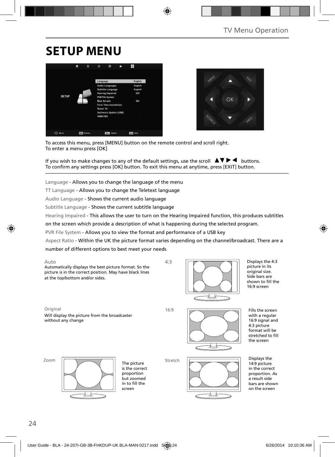## **SETUP MENU**





To access this menu, press [MENU] button on the remote control and scroll right. To enter a menu press [OK]

If you wish to make changes to any of the default settings, use the scroll  $\blacktriangle \blacktriangledown \blacktriangleright \blacktriangleleft$  buttons. To confirm any settings press [OK] button. To exit this menu at anytime, press [EXIT] button.

Language - Allows you to change the language of the menu

TT Language - Allows you to change the Teletext language

Audio Language - Shows the current audio language

Subtitle Language - Shows the current subtitle language

Hearing Impaired - This allows the user to turn on the Hearing Impaired function, this produces subtitles

on the screen which provide a description of what is happening during the selected program.

PVR File System - Allows you to view the format and performance of a USB key

Aspect Ratio - Within the UK the picture format varies depending on the channel/broadcast. There are a number of different options to best meet your needs

| Auto                                                                                                               | 4:3 |  |
|--------------------------------------------------------------------------------------------------------------------|-----|--|
| Automatically displays the best picture format. So the<br>picture is in the correct position. May have black lines |     |  |
| at the top/bottom and/or sides.                                                                                    |     |  |

Displays the 4:3 picture in its original size.

Side bars are shown to fill the 16:9 screen

Original 16:9

Stretch



Fills the screen with a regular 16:9 signal and 4:3 picture format will be stretched to fill the screen



without any change



Will display the picture from the broadcaster

The picture is the correct proportion but zoomed in to fill the screen



Displays the 14:9 picture in the correct proportion. As a result side bars are shown on the screen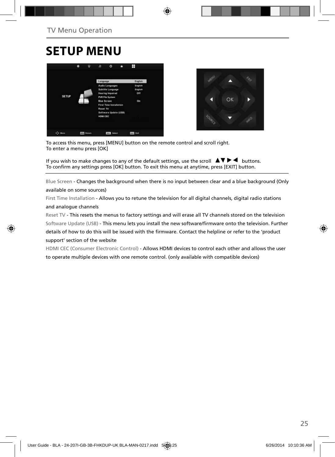### **SETUP MENU**





To access this menu, press [MENU] button on the remote control and scroll right. To enter a menu press [OK]

If you wish to make changes to any of the default settings, use the scroll  $\Box \blacktriangledown \blacktriangleright \blacktriangleleft$  buttons. To confirm any settings press [OK] button. To exit this menu at anytime, press [EXIT] button.

Blue Screen - Changes the background when there is no input between clear and a blue background (Only

#### available on some sources)

First Time Installation - Allows you to retune the television for all digital channels, digital radio stations and analogue channels

Reset TV - This resets the menus to factory settings and will erase all TV channels stored on the television Software Update (USB) - This menu lets you install the new software/firmware onto the television. Further details of how to do this will be issued with the firmware. Contact the helpline or refer to the 'product support' section of the website

HDMI CEC (Consumer Electronic Control) - Allows HDMI devices to control each other and allows the user to operate multiple devices with one remote control. (only available with compatible devices)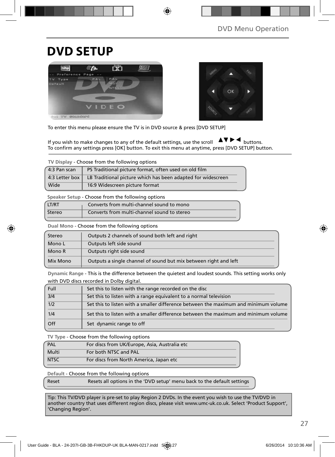### **DVD SETUP**





To enter this menu please ensure the TV is in DVD source & press [DVD SETUP]

If you wish to make changes to any of the default settings, use the scroll  $\Delta \nabla \blacktriangleright \blacktriangleleft$  buttons. To confirm any settings press [OK] button. To exit this menu at anytime, press [DVD SETUP] button.

**TV Display** - Choose from the following options

| 4:3 Pan scan   | PS Traditional picture format, often used on old film        |
|----------------|--------------------------------------------------------------|
| 4:3 Letter box | LB Traditional picture which has been adapted for widescreen |
| Wide           | 16:9 Widescreen picture format                               |

**Speaker Setup** - Choose from the following options

| LT/RT  | Converts from multi-channel sound to mono   |  |
|--------|---------------------------------------------|--|
| Stereo | Converts from multi-channel sound to stereo |  |

**Dual Mono** - Choose from the following options

| Stereo   | Outputs 2 channels of sound both left and right                  |
|----------|------------------------------------------------------------------|
| Mono L   | Outputs left side sound                                          |
| Mono R   | Outputs right side sound                                         |
| Mix Mono | Outputs a single channel of sound but mix between right and left |

**Dynamic Range** - This is the difference between the quietest and loudest sounds. This setting works only with DVD discs recorded in Dolby digital.

| Full             | Set this to listen with the range recorded on the disc                              |
|------------------|-------------------------------------------------------------------------------------|
| $\overline{3}/4$ | Set this to listen with a range equivalent to a normal television                   |
| 1/2              | Set this to listen with a smaller difference between the maximum and minimum volume |
| 1/4              | Set this to listen with a smaller difference between the maximum and minimum volume |
| Off              | Set dynamic range to off                                                            |

**TV Type** - Choose from the following options

| PAL         | For discs from UK/Europe, Asia, Australia etc |
|-------------|-----------------------------------------------|
| Multi       | For both NTSC and PAL                         |
| <b>NTSC</b> | For discs from North America, Japan etc       |

**Default** - Choose from the following options

Reset Resets all options in the 'DVD setup' menu back to the default settings

Tip: This TV/DVD player is pre-set to play Region 2 DVDs. In the event you wish to use the TV/DVD in another country that uses different region discs, please visit www.umc-uk.co.uk. Select 'Product Support', 'Changing Region'.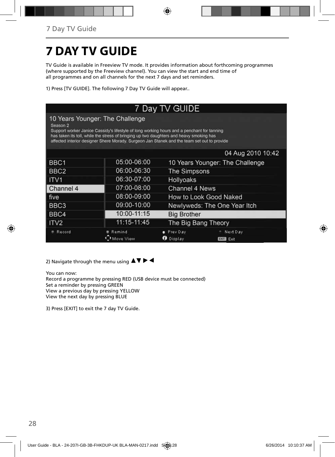# **7 DAY TV GUIDE**

TV Guide is available in Freeview TV mode. It provides information about forthcoming programmes (where supported by the Freeview channel). You can view the start and end time of all programmes and on all channels for the next 7 days and set reminders.

1) Press [TV GUIDE]. The following 7 Day TV Guide will appear..

| 7 Day TV GUIDE                                                                                                                                                                                                                                                                                                                                 |                     |                                 |                                 |  |
|------------------------------------------------------------------------------------------------------------------------------------------------------------------------------------------------------------------------------------------------------------------------------------------------------------------------------------------------|---------------------|---------------------------------|---------------------------------|--|
| 10 Years Younger: The Challenge<br>Season <sub>2</sub><br>Support worker Janice Cassidy's lifestyle of long working hours and a penchant for tanning<br>has taken its toll, while the stress of bringing up two daughters and heavy smoking has<br>affected interior designer Shere Morady. Surgeon Jan Stanek and the team set out to provide |                     |                                 |                                 |  |
|                                                                                                                                                                                                                                                                                                                                                |                     |                                 | 04 Aug 2010 10:42               |  |
| BBC1                                                                                                                                                                                                                                                                                                                                           | 05:00-06:00         | 10 Years Younger: The Challenge |                                 |  |
| BBC <sub>2</sub>                                                                                                                                                                                                                                                                                                                               | 06:00-06:30         | The Simpsons                    |                                 |  |
| ITV <sub>1</sub>                                                                                                                                                                                                                                                                                                                               | 06:30-07:00         | <b>Hollyoaks</b>                |                                 |  |
| Channel 4                                                                                                                                                                                                                                                                                                                                      | 07:00-08:00         | Channel 4 News                  |                                 |  |
| five                                                                                                                                                                                                                                                                                                                                           | 08:00-09:00         | How to Look Good Naked          |                                 |  |
| BBC3                                                                                                                                                                                                                                                                                                                                           | 09:00-10:00         | Newlyweds: The One Year Itch    |                                 |  |
| BBC4                                                                                                                                                                                                                                                                                                                                           | 10:00-11:15         | <b>Big Brother</b>              |                                 |  |
| ITV <sub>2</sub>                                                                                                                                                                                                                                                                                                                               | 11:15-11:45         | The Big Bang Theory             |                                 |  |
| Record                                                                                                                                                                                                                                                                                                                                         | Remind<br>Move View | Prev Day<br>Display             | Next Day<br>Exit<br><b>EXIT</b> |  |

2) Navigate through the menu using  $\blacktriangle \blacktriangledown \blacktriangleright \blacktriangleleft$ 

You can now: Record a programme by pressing RED (USB device must be connected) Set a reminder by pressing GREEN View a previous day by pressing YELLOW View the next day by pressing BLUE

3) Press [EXIT] to exit the 7 day TV Guide.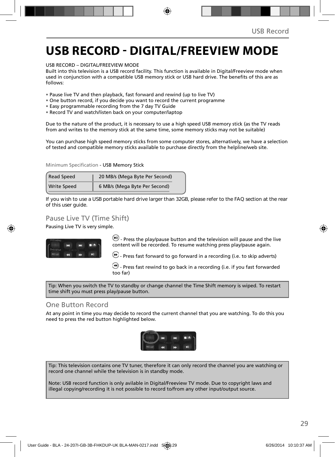### **USB RECORD - DIGITAL/FREEVIEW MODE**

USB RECORD – DIGITAL/FREEVIEW MODE

Built into this television is a USB record facility. This function is available in Digital/Freeview mode when used in coniunction with a compatible USB memory stick or USB hard drive. The benefits of this are as follows:

- Pause live TV and then playback, fast forward and rewind (up to live TV)
- One button record, if you decide you want to record the current programme
- Easy programmable recording from the 7 day TV Guide
- Record TV and watch/listen back on your computer/laptop

Due to the nature of the product, it is necessary to use a high speed USB memory stick (as the TV reads from and writes to the memory stick at the same time, some memory sticks may not be suitable)

You can purchase high speed memory sticks from some computer stores, alternatively, we have a selection of tested and compatible memory sticks available to purchase directly from the helpline/web site.

Minimum Specification - USB Memory Stick

| <b>Read Speed</b>  | 20 MB/s (Mega Byte Per Second) |  |
|--------------------|--------------------------------|--|
| <b>Write Speed</b> | 6 MB/s (Mega Byte Per Second)  |  |

**If you wish to use a USB portable hard drive larger than 32GB, please refer to the FAQ section at the rear of this user guide.**

#### Pause Live TV (Time Shift)

Pausing Live TV is very simple.



 $(n)$  - Press the play/pause button and the television will pause and the live content will be recorded. To resume watching press play/pause again.

 $\bullet$  - Press fast forward to go forward in a recording (i.e. to skip adverts)

 $\bigcirc$  - Press fast rewind to go back in a recording (i.e. if you fast forwarded too far)

Tip: When you switch the TV to standby or change channel the Time Shift memory is wiped. To restart time shift you must press play/pause button.

#### One Button Record

At any point in time you may decide to record the current channel that you are watching. To do this you need to press the red button highlighted below.



Tip: This television contains one TV tuner, therefore it can only record the channel you are watching or record one channel while the television is in standby mode.

Note: USB record function is only avilable in Digital/Freeview TV mode. Due to copyright laws and illegal copying/recording it is not possible to record to/from any other input/output source.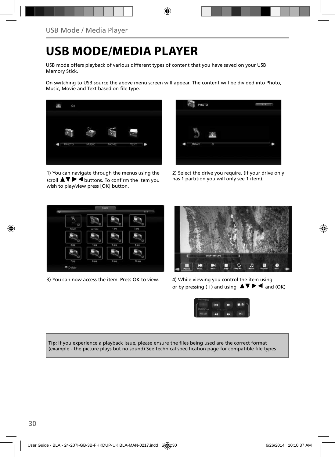### **USB MODE/MEDIA PLAYER**

USB mode offers playback of various different types of content that you have saved on your USB Memory Stick.

On switching to USB source the above menu screen will appear. The content will be divided into Photo, Music, Movie and Text based on file type.



1) You can navigate through the menus using the scroll  $\Delta \nabla \triangleright$   $\blacktriangleleft$  buttons. To confirm the item you wish to play/view press [OK] button.



2) Select the drive you require. (If your drive only has 1 partition you will only see 1 item).



3) You can now access the item. Press OK to view. 4) While viewing you control the item using



or by pressing ( i ) and using  $\Delta \nabla \blacktriangleright$   $\blacktriangle$  and (OK)



Tip: If you experience a playback issue, please ensure the files being used are the correct format (example - the picture plays but no sound) See technical specification page for compatible file types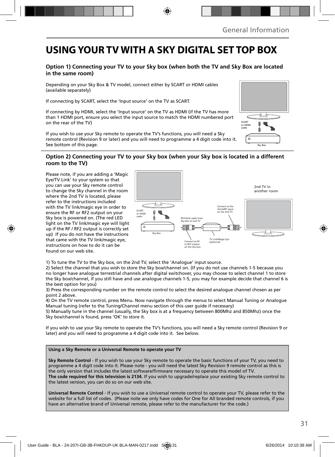### **USING YOUR TV WITH A SKY DIGITAL SET TOP BOX**

#### **Option 1) Connecting your TV to your Sky box (when both the TV and Sky Box are located in the same room)**

Depending on your Sky Box & TV model, connect either by SCART or HDMI cables (available separately)

If connecting by SCART, select the 'Input source' on the TV as SCART.

If connecting by HDMI, select the 'Input source' on the TV as HDMI (if the TV has more than 1 HDMI port, ensure you select the input source to match the HDMI numbered port on the rear of the TV)

If you wish to use your Sky remote to operate the TV's functions, you will need a Sky remote control (Revision 9 or later) and you will need to programme a 4 digit code into it. See bottom of this page.

#### **Option 2) Connecting your TV to your Sky box (when your Sky box is located in a different room to the TV)**

Please note, if you are adding a 'Magic Eye/TV Link' to your system so that you can use your Sky remote control to change the Sky channel in the room where the 2nd TV is located, please refer to the instructions included with the TV link/magic eye in order to ensure the RF or RF2 output on your Sky box is powered on. (The red LED light on the TV link/magic eye will light up if the RF / RF2 output is correctly set up) If you do not have the instructions that came with the TV link/magic eye, instructions on how to do it can be found on our web site.



1) To tune the TV to the Sky box, on the 2nd TV, select the 'Analogue' input source.

2) Select the channel that you wish to store the Sky box/channel on. (If you do not use channels 1-5 because you no longer have analogue terrestrial channels after digital switchover, you may choose to select channel 1 to store the Sky box/channel, if you still have and use analogue channels 1-5, you may for example decide that channel 6 is the best option for you)

3) Press the corresponding number on the remote control to select the desired analogue channel chosen as per point 2 above.

4) On the TV remote control, press Menu. Now navigate through the menus to select Manual Tuning or Analogue Manual tuning (refer to the Tuning/Channel menu section of this user guide if necessary)

5) Manually tune in the channel (usually, the Sky box is at a frequency between 800Mhz and 850Mhz) once the Sky box/channel is found, press 'OK' to store it.

If you wish to use your Sky remote to operate the TV's functions, you will need a Sky remote control (Revision 9 or later) and you will need to programme a 4 digit code into it. See below.

#### **Using a Sky Remote or a Universal Remote to operate your TV**

**Sky Remote Control** - If you wish to use your Sky remote to operate the basic functions of your TV, you need to programme a 4 digit code into it. Please note - you will need the latest Sky Revision 9 remote control as this is the only version that includes the latest software/fi rmware necessary to operate this model of TV. **The code required for this television is 2134.** If you wish to upgrade/replace your existing Sky remote control to the latest version, you can do so on our web site.

**Universal Remote Control** - If you wish to use a Universal remote control to operate your TV, please refer to the website for a full list of codes. (Please note we only have codes for One for All branded remote controls, if you have an alternative brand of Universal remote, please refer to the manufacturer for the code.)

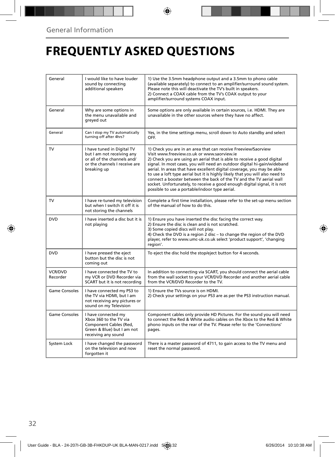# **FREQUENTLY ASKED QUESTIONS**

| General              | I would like to have louder<br>sound by connecting<br>additional speakers                                                               | 1) Use the 3.5mm headphone output and a 3.5mm to phono cable<br>(available separately) to connect to an amplifier/surround sound system.<br>Please note this will deactivate the TV's built in speakers.<br>2) Connect a COAX cable from the TV's COAX output to your<br>amplifier/surround systems COAX input.                                                                                                                                                                                                                                                                                                                      |
|----------------------|-----------------------------------------------------------------------------------------------------------------------------------------|--------------------------------------------------------------------------------------------------------------------------------------------------------------------------------------------------------------------------------------------------------------------------------------------------------------------------------------------------------------------------------------------------------------------------------------------------------------------------------------------------------------------------------------------------------------------------------------------------------------------------------------|
| General              | Why are some options in<br>the menu unavailable and<br>greyed out                                                                       | Some options are only available in certain sources, i.e. HDMI. They are<br>unavailable in the other sources where they have no affect.                                                                                                                                                                                                                                                                                                                                                                                                                                                                                               |
| General              | Can I stop my TV automatically<br>turning off after 4hrs?                                                                               | Yes, in the time settings menu, scroll down to Auto standby and select<br>OFF.                                                                                                                                                                                                                                                                                                                                                                                                                                                                                                                                                       |
| TV                   | I have tuned in Digital TV<br>but I am not receiving any<br>or all of the channels and/<br>or the channels I receive are<br>breaking up | 1) Check you are in an area that can receive Freeview/Saorview<br>Visit www.freeview.co.uk or www.saorview.ie<br>2) Check you are using an aerial that is able to receive a good digital<br>signal. In most cases, you will need an outdoor digital hi-gain/wideband<br>aerial. In areas that have excellent digital coverage, you may be able<br>to use a loft type aerial but it is highly likely that you will also need to<br>connect a booster between the back of the TV and the TV aerial wall<br>socket. Unfortunately, to receive a good enough digital signal, it is not<br>possible to use a portable/indoor type aerial. |
| <b>TV</b>            | I have re-tuned my television<br>but when I switch it off it is<br>not storing the channels                                             | Complete a first time installation, please refer to the set-up menu section<br>of the manual of how to do this.                                                                                                                                                                                                                                                                                                                                                                                                                                                                                                                      |
| <b>DVD</b>           | I have inserted a disc but it is<br>not playing                                                                                         | 1) Ensure you have inserted the disc facing the correct way.<br>2) Ensure the disc is clean and is not scratched.<br>3) Some copied discs will not play.<br>4) Check the DVD is a region 2 disc – to change the region of the DVD<br>player, refer to www.umc-uk.co.uk select 'product support', 'changing<br>region'.                                                                                                                                                                                                                                                                                                               |
| <b>DVD</b>           | I have pressed the eject<br>button but the disc is not<br>coming out                                                                    | To eject the disc hold the stop/eject button for 4 seconds.                                                                                                                                                                                                                                                                                                                                                                                                                                                                                                                                                                          |
| VCR/DVD<br>Recorder  | I have connected the TV to<br>my VCR or DVD Recorder via<br>SCART but it is not recording                                               | In addition to connecting via SCART, you should connect the aerial cable<br>from the wall socket to your VCR/DVD Recorder and another aerial cable<br>from the VCR/DVD Recorder to the TV.                                                                                                                                                                                                                                                                                                                                                                                                                                           |
| <b>Game Consoles</b> | I have connected my PS3 to<br>the TV via HDMI, but I am<br>not receiving any pictures or<br>sound on my Television                      | 1) Ensure the TVs source is on HDMI.<br>2) Check your settings on your PS3 are as per the PS3 instruction manual.                                                                                                                                                                                                                                                                                                                                                                                                                                                                                                                    |
| <b>Game Consoles</b> | I have connected my<br>Xbox 360 to the TV via<br>Component Cables (Red,<br>Green & Blue) but I am not<br>receiving any sound            | Component cables only provide HD Pictures. For the sound you will need<br>to connect the Red & White audio cables on the Xbox to the Red & White<br>phono inputs on the rear of the TV. Please refer to the 'Connections'<br>pages.                                                                                                                                                                                                                                                                                                                                                                                                  |
| System Lock          | I have changed the password<br>on the television and now<br>forgotten it                                                                | There is a master password of 4711, to gain access to the TV menu and<br>reset the normal password.                                                                                                                                                                                                                                                                                                                                                                                                                                                                                                                                  |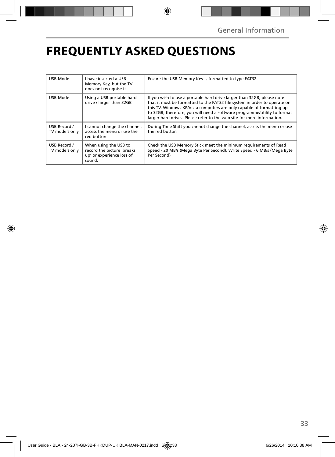# **FREQUENTLY ASKED QUESTIONS**

| USB Mode                       | I have inserted a USB<br>Memory Key, but the TV<br>does not recognise it                   | Ensure the USB Memory Key is formatted to type FAT32.                                                                                                                                                                                                                                                                                                                              |
|--------------------------------|--------------------------------------------------------------------------------------------|------------------------------------------------------------------------------------------------------------------------------------------------------------------------------------------------------------------------------------------------------------------------------------------------------------------------------------------------------------------------------------|
| USB Mode                       | Using a USB portable hard<br>drive / larger than 32GB                                      | If you wish to use a portable hard drive larger than 32GB, please note<br>that it must be formatted to the FAT32 file system in order to operate on<br>this TV. Windows XP/Vista computers are only capable of formatting up<br>to 32GB, therefore, you will need a software programme/utility to format<br>larger hard drives. Please refer to the web site for more information. |
| USB Record /<br>TV models only | I cannot change the channel,<br>access the menu or use the<br>red button                   | During Time Shift you cannot change the channel, access the menu or use<br>the red button                                                                                                                                                                                                                                                                                          |
| USB Record /<br>TV models only | When using the USB to<br>record the picture 'breaks<br>up' or experience loss of<br>sound. | Check the USB Memory Stick meet the minimum requirements of Read<br>Speed - 20 MB/s (Mega Byte Per Second), Write Speed - 6 MB/s (Mega Byte<br>Per Second)                                                                                                                                                                                                                         |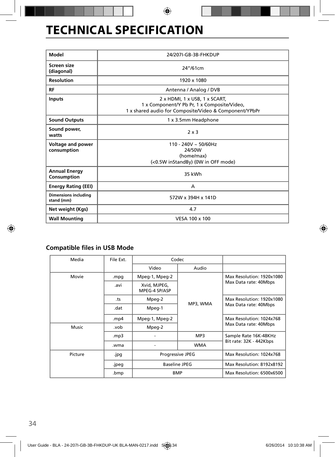# **TECHNICAL SPECIFICATION**

| Model                                     | 24/207I-GB-3B-FHKDUP                                                                                                                   |  |  |
|-------------------------------------------|----------------------------------------------------------------------------------------------------------------------------------------|--|--|
| Screen size<br>(diagonal)                 | 24''/61cm                                                                                                                              |  |  |
| <b>Resolution</b>                         | 1920 x 1080                                                                                                                            |  |  |
| RF                                        | Antenna / Analog / DVB                                                                                                                 |  |  |
| <b>Inputs</b>                             | 2 x HDMI, 1 x USB, 1 x SCART,<br>1 x Component/Y Pb Pr, 1 x Composite/Video,<br>1 x shared audio for Composite/Video & Component/YPbPr |  |  |
| <b>Sound Outputs</b>                      | 1 x 3.5mm Headphone                                                                                                                    |  |  |
| Sound power,<br>watts                     | 2x3                                                                                                                                    |  |  |
| Voltage and power<br>consumption          | $110 - 240V \sim 50/60Hz$<br>24/50W<br>(home/max)<br>(<0.5W inStandBy) (0W in OFF mode)                                                |  |  |
| <b>Annual Energy</b><br>Consumption       | 35 kWh                                                                                                                                 |  |  |
| <b>Energy Rating (EEI)</b>                | A                                                                                                                                      |  |  |
| <b>Dimensions including</b><br>stand (mm) | 572W x 394H x 141D                                                                                                                     |  |  |
| Net weight (Kgs)                          | 4.7                                                                                                                                    |  |  |
| <b>Wall Mounting</b>                      | VESA 100 x 100                                                                                                                         |  |  |

### **Compatible files in USB Mode**

| Media   | File Ext. | Codec                                           |            |                                                    |
|---------|-----------|-------------------------------------------------|------------|----------------------------------------------------|
|         |           | Video                                           | Audio      |                                                    |
| Movie   | .mpg      | Mpeg-1, Mpeg-2                                  |            | Max Resolution: 1920x1080<br>Max Data rate: 40Mbps |
|         | .avi      | Xvid, MJPEG,<br>MPEG-4 SP/ASP                   |            |                                                    |
|         | .ts       | Mpeg-2                                          |            | Max Resolution: 1920x1080                          |
|         | .dat      | Mpeg-1                                          | MP3, WMA   | Max Data rate: 40Mbps                              |
|         | .mp4      | Mpeg-1, Mpeg-2                                  |            | Max Resolution: 1024x768                           |
| Music   | .vob      | Mpeg-2                                          |            | Max Data rate: 40Mbps                              |
|         | mp3.      |                                                 | MP3        | Sample Rate 16K-48KHz                              |
|         | .wma      |                                                 | <b>WMA</b> | Bit rate: 32K - 442Kbps                            |
| Picture | .jpg      | <b>Progressive JPEG</b><br><b>Baseline JPEG</b> |            | Max Resolution: 1024x768                           |
|         | .jpeg     |                                                 |            | Max Resolution: 8192x8192                          |
|         | .bmp      | <b>BMP</b>                                      |            | Max Resolution: 6500x6500                          |
|         |           |                                                 |            |                                                    |